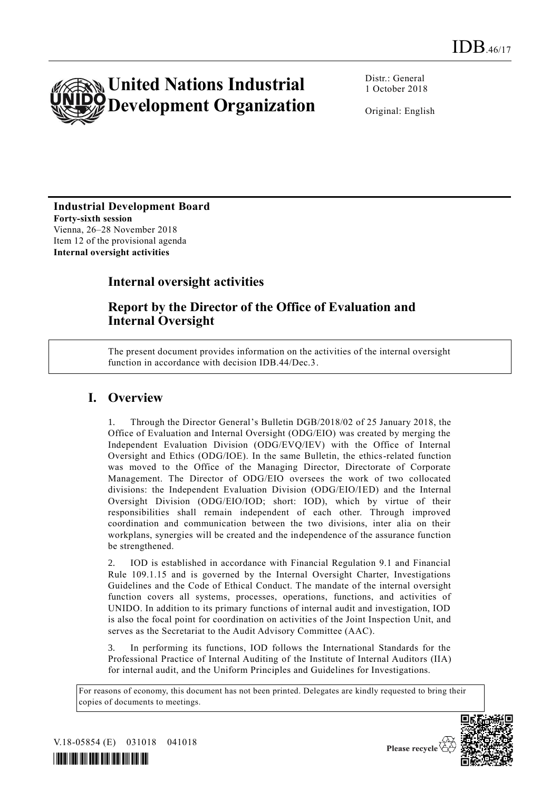

Distr.: General 1 October 2018

Original: English

#### **Industrial Development Board Forty-sixth session** Vienna, 26–28 November 2018

Item 12 of the provisional agenda **Internal oversight activities** 

# **Internal oversight activities**

## **Report by the Director of the Office of Evaluation and Internal Oversight**

The present document provides information on the activities of the internal oversight function in accordance with decision IDB.44/Dec.3.

## **I. Overview**

1. Through the Director General's Bulletin DGB/2018/02 of 25 January 2018, the Office of Evaluation and Internal Oversight (ODG/EIO) was created by merging the Independent Evaluation Division (ODG/EVQ/IEV) with the Office of Internal Oversight and Ethics (ODG/IOE). In the same Bulletin, the ethics-related function was moved to the Office of the Managing Director, Directorate of Corporate Management. The Director of ODG/EIO oversees the work of two collocated divisions: the Independent Evaluation Division (ODG/EIO/IED) and the Internal Oversight Division (ODG/EIO/IOD; short: IOD), which by virtue of their responsibilities shall remain independent of each other. Through improved coordination and communication between the two divisions, inter alia on their workplans, synergies will be created and the independence of the assurance function be strengthened.

2. IOD is established in accordance with Financial Regulation 9.1 and Financial Rule 109.1.15 and is governed by the Internal Oversight Charter, Investigations Guidelines and the Code of Ethical Conduct. The mandate of the internal oversight function covers all systems, processes, operations, functions, and activities of UNIDO. In addition to its primary functions of internal audit and investigation, IOD is also the focal point for coordination on activities of the Joint Inspection Unit, and serves as the Secretariat to the Audit Advisory Committee (AAC).

In performing its functions, IOD follows the International Standards for the Professional Practice of Internal Auditing of the Institute of Internal Auditors (IIA) for internal audit, and the Uniform Principles and Guidelines for Investigations.

For reasons of economy, this document has not been printed. Delegates are kindly requested to bring their copies of documents to meetings.



V.18-05854 (E) 031018 041018

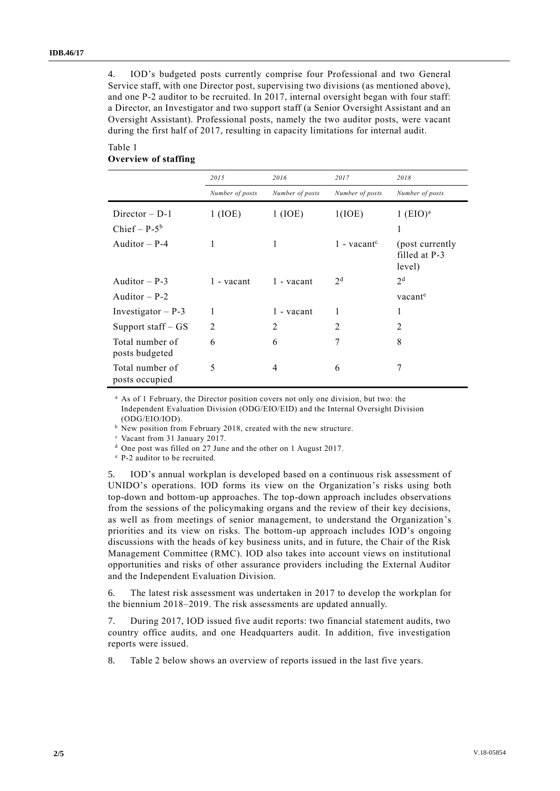4. IOD's budgeted posts currently comprise four Professional and two General Service staff, with one Director post, supervising two divisions (as mentioned above), and one P-2 auditor to be recruited. In 2017, internal oversight began with four staff: a Director, an Investigator and two support staff (a Senior Oversight Assistant and an Oversight Assistant). Professional posts, namely the two auditor posts, were vacant during the first half of 2017, resulting in capacity limitations for internal audit.

#### Table 1 **Overview of staffing**

|                                     | 2015            | 2016            | 2017                      | 2018                                        |  |
|-------------------------------------|-----------------|-----------------|---------------------------|---------------------------------------------|--|
|                                     | Number of posts | Number of posts | Number of posts           | Number of posts                             |  |
| $Director - D-1$<br>Chief – $P-5^b$ | 1 (IDE)         | 1 (IDE)         | 1(IOE)                    | $1$ (EIO) <sup>a</sup><br>1                 |  |
| Auditor $- P-4$                     | 1               | 1               | $1$ - vacant <sup>c</sup> | (post currently)<br>filled at P-3<br>level) |  |
| Auditor $- P-3$                     | 1 - vacant      | 1 - vacant      | 2 <sup>d</sup>            | 2 <sup>d</sup>                              |  |
| Auditor $- P-2$                     |                 |                 |                           | vacant <sup>e</sup>                         |  |
| Investigator $- P - 3$              | 1               | 1 - vacant      | 1                         | 1                                           |  |
| Support staff - GS                  | 2               | $\overline{2}$  | $\overline{2}$            | $\overline{2}$                              |  |
| Total number of<br>posts budgeted   | 6               | 6               | 7                         | 8                                           |  |
| Total number of<br>posts occupied   | 5               | 4               | 6                         | 7                                           |  |

<sup>a</sup> As of 1 February, the Director position covers not only one division, but two: the Independent Evaluation Division (ODG/EIO/EID) and the Internal Oversight Division (ODG/EIO/IOD).

b New position from February 2018, created with the new structure.

<sup>c</sup> Vacant from 31 January 2017.

<sup>d</sup> One post was filled on 27 June and the other on 1 August 2017.

<sup>e</sup> P-2 auditor to be recruited.

5. IOD's annual workplan is developed based on a continuous risk assessment of UNIDO's operations. IOD forms its view on the Organization's risks using both top-down and bottom-up approaches. The top-down approach includes observations from the sessions of the policymaking organs and the review of their key decisions, as well as from meetings of senior management, to understand the Organization's priorities and its view on risks. The bottom-up approach includes IOD's ongoing discussions with the heads of key business units, and in future, the Chair of the Risk Management Committee (RMC). IOD also takes into account views on institutional opportunities and risks of other assurance providers including the External Auditor and the Independent Evaluation Division.

6. The latest risk assessment was undertaken in 2017 to develop the workplan for the biennium 2018–2019. The risk assessments are updated annually.

7. During 2017, IOD issued five audit reports: two financial statement audits, two country office audits, and one Headquarters audit. In addition, five investigation reports were issued.

8. Table 2 below shows an overview of reports issued in the last five years.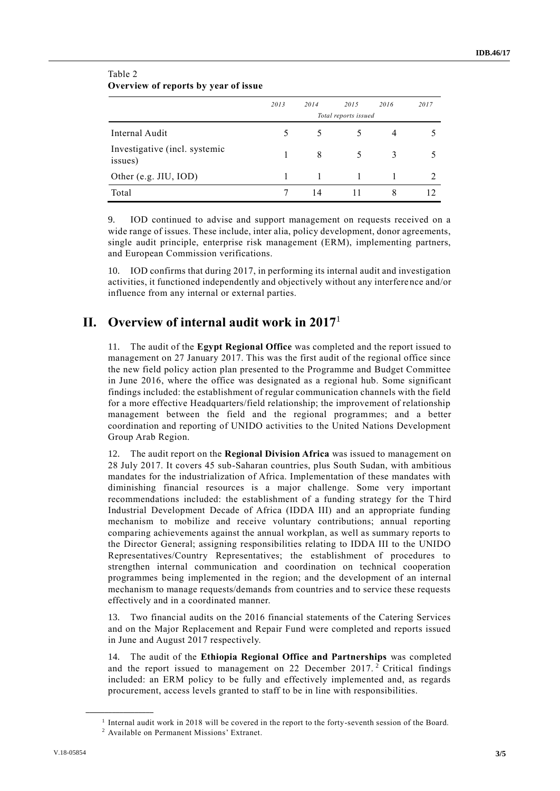| Overview of reports by year of issue     |                      |      |      |      |               |  |  |  |
|------------------------------------------|----------------------|------|------|------|---------------|--|--|--|
|                                          | 2013                 | 2014 | 2015 | 2016 | 2017          |  |  |  |
|                                          | Total reports issued |      |      |      |               |  |  |  |
| Internal Audit                           |                      |      |      |      |               |  |  |  |
| Investigative (incl. systemic<br>issues) |                      | 8    | 5    | 3    |               |  |  |  |
| Other (e.g. JIU, IOD)                    |                      |      |      |      | $\mathcal{L}$ |  |  |  |
| Total                                    |                      | 14   |      | 8    | 12.           |  |  |  |

#### Table 2 **Overview of reports by year of issue**

9. IOD continued to advise and support management on requests received on a wide range of issues. These include, inter alia, policy development, donor agreements, single audit principle, enterprise risk management (ERM), implementing partners, and European Commission verifications.

10. IOD confirms that during 2017, in performing its internal audit and investigation activities, it functioned independently and objectively without any interference and/or influence from any internal or external parties.

## **II. Overview of internal audit work in 2017**<sup>1</sup>

11. The audit of the **Egypt Regional Office** was completed and the report issued to management on 27 January 2017. This was the first audit of the regional office since the new field policy action plan presented to the Programme and Budget Committee in June 2016, where the office was designated as a regional hub. Some significant findings included: the establishment of regular communication channels with the field for a more effective Headquarters/field relationship; the improvement of relationship management between the field and the regional programmes; and a better coordination and reporting of UNIDO activities to the United Nations Development Group Arab Region.

12. The audit report on the **Regional Division Africa** was issued to management on 28 July 2017. It covers 45 sub-Saharan countries, plus South Sudan, with ambitious mandates for the industrialization of Africa. Implementation of these mandates with diminishing financial resources is a major challenge. Some very important recommendations included: the establishment of a funding strategy for the Third Industrial Development Decade of Africa (IDDA III) and an appropriate funding mechanism to mobilize and receive voluntary contributions; annual reporting comparing achievements against the annual workplan, as well as summary reports to the Director General; assigning responsibilities relating to IDDA III to the UNIDO Representatives/Country Representatives; the establishment of procedures to strengthen internal communication and coordination on technical cooperation programmes being implemented in the region; and the development of an internal mechanism to manage requests/demands from countries and to service these requests effectively and in a coordinated manner.

13. Two financial audits on the 2016 financial statements of the Catering Services and on the Major Replacement and Repair Fund were completed and reports issued in June and August 2017 respectively.

14. The audit of the **Ethiopia Regional Office and Partnerships** was completed and the report issued to management on 22 December 2017. <sup>2</sup> Critical findings included: an ERM policy to be fully and effectively implemented and, as regards procurement, access levels granted to staff to be in line with responsibilities.

**\_\_\_\_\_\_\_\_\_\_\_\_\_\_\_\_\_\_**

<sup>1</sup> Internal audit work in 2018 will be covered in the report to the forty-seventh session of the Board. <sup>2</sup> Available on Permanent Missions' Extranet.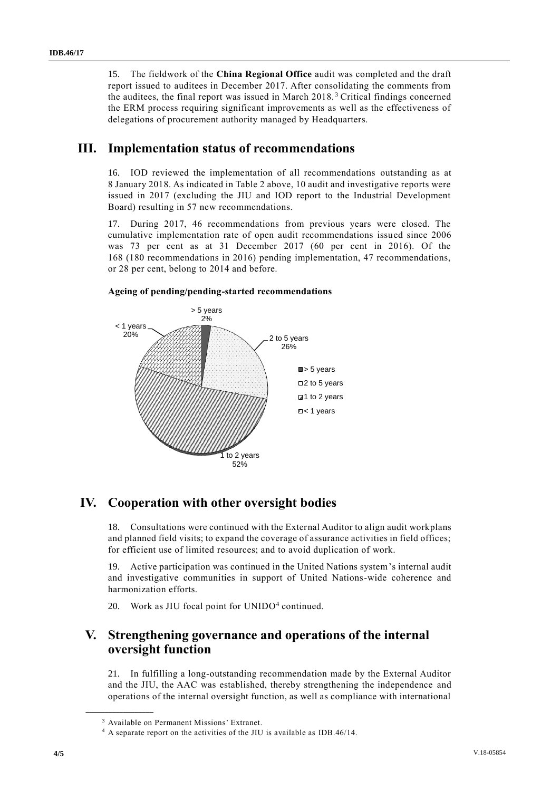15. The fieldwork of the **China Regional Office** audit was completed and the draft report issued to auditees in December 2017. After consolidating the comments from the auditees, the final report was issued in March 2018. <sup>3</sup> Critical findings concerned the ERM process requiring significant improvements as well as the effectiveness of delegations of procurement authority managed by Headquarters.

## **III. Implementation status of recommendations**

16. IOD reviewed the implementation of all recommendations outstanding as at 8 January 2018. As indicated in Table 2 above, 10 audit and investigative reports were issued in 2017 (excluding the JIU and IOD report to the Industrial Development Board) resulting in 57 new recommendations.

17. During 2017, 46 recommendations from previous years were closed. The cumulative implementation rate of open audit recommendations issued since 2006 was 73 per cent as at 31 December 2017 (60 per cent in 2016). Of the 168 (180 recommendations in 2016) pending implementation, 47 recommendations, or 28 per cent, belong to 2014 and before.



#### **Ageing of pending/pending-started recommendations**

## **IV. Cooperation with other oversight bodies**

18. Consultations were continued with the External Auditor to align audit workplans and planned field visits; to expand the coverage of assurance activities in field offices; for efficient use of limited resources; and to avoid duplication of work.

19. Active participation was continued in the United Nations system's internal audit and investigative communities in support of United Nations-wide coherence and harmonization efforts.

20. Work as JIU focal point for UNIDO<sup>4</sup> continued.

#### **V. Strengthening governance and operations of the internal oversight function**

21. In fulfilling a long-outstanding recommendation made by the External Auditor and the JIU, the AAC was established, thereby strengthening the independence and operations of the internal oversight function, as well as compliance with international

**\_\_\_\_\_\_\_\_\_\_\_\_\_\_\_\_\_\_**

<sup>3</sup> Available on Permanent Missions' Extranet.

<sup>&</sup>lt;sup>4</sup> A separate report on the activities of the JIU is available as IDB.46/14.